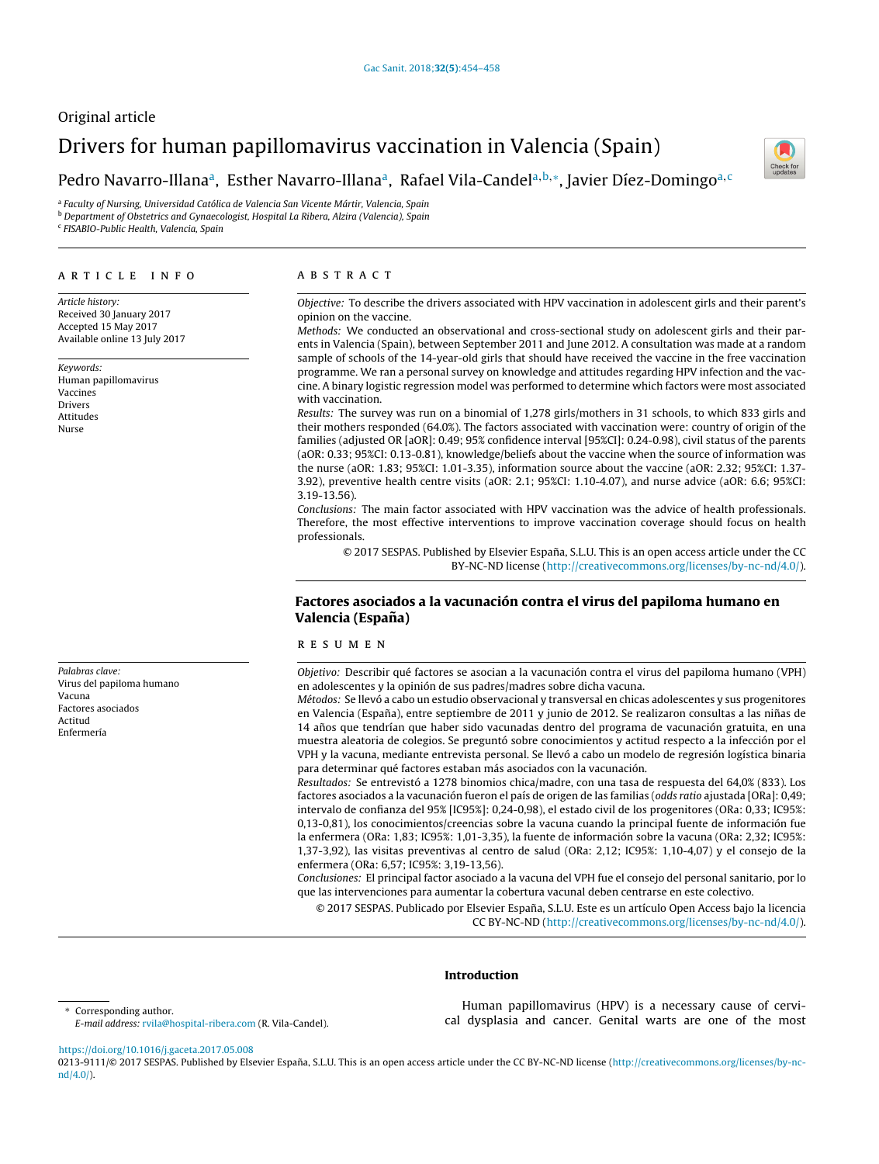# Original article Drivers for human papillomavirus vaccination in Valencia (Spain)



## Pedro Navarro-Illana<sup>a</sup>, Esther Navarro-Illana<sup>a</sup>, Rafael Vila-Candel<sup>a,b,</sup>\*, Javier Díez-Domingo<sup>a,c</sup>

<sup>a</sup> Faculty of Nursing, Universidad Católica de Valencia San Vicente Mártir, Valencia, Spain **b** Department of Obstetrics and Gynaecologist, Hospital La Ribera, Alzira (Valencia), Spain <sup>c</sup> FISABIO-Public Health, Valencia, Spain

### a r t i c l e i n f o

Article history: Received 30 January 2017 Accepted 15 May 2017 Available online 13 July 2017

Keywords: Human papillomavirus Vaccines Drivers Attitudes Nurse

Palabras clave: Virus del papiloma humano Vacuna Factores asociados Actitud Enfermería

#### a b s t r a c t

Objective: To describe the drivers associated with HPV vaccination in adolescent girls and their parent's opinion on the vaccine.

Methods: We conducted an observational and cross-sectional study on adolescent girls and their parents in Valencia (Spain), between September 2011 and June 2012. A consultation was made at a random sample of schools of the 14-year-old girls that should have received the vaccine in the free vaccination programme. We ran a personal survey on knowledge and attitudes regarding HPV infection and the vaccine. A binary logistic regression model was performed to determine which factors were most associated with vaccination.

Results: The survey was run on a binomial of 1,278 girls/mothers in 31 schools, to which 833 girls and their mothers responded (64.0%). The factors associated with vaccination were: country of origin of the families (adjusted OR [aOR]: 0.49; 95% confidence interval [95%CI]: 0.24-0.98), civil status of the parents (aOR: 0.33; 95%CI: 0.13-0.81), knowledge/beliefs about the vaccine when the source of information was the nurse (aOR: 1.83; 95%CI: 1.01-3.35), information source about the vaccine (aOR: 2.32; 95%CI: 1.37- 3.92), preventive health centre visits (aOR: 2.1; 95%CI: 1.10-4.07), and nurse advice (aOR: 6.6; 95%CI: 3.19-13.56).

Conclusions: The main factor associated with HPV vaccination was the advice of health professionals. Therefore, the most effective interventions to improve vaccination coverage should focus on health professionals.

© 2017 SESPAS. Published by Elsevier España, S.L.U. This is an open access article under the CC BY-NC-ND license [\(http://creativecommons.org/licenses/by-nc-nd/4.0/](http://creativecommons.org/licenses/by-nc-nd/4.0/)).

## Factores asociados a la vacunación contra el virus del papiloma humano en Valencia (España)

## r e s u m e n

Objetivo: Describir qué factores se asocian a la vacunación contra el virus del papiloma humano (VPH) en adolescentes y la opinión de sus padres/madres sobre dicha vacuna.

Métodos: Se llevó a cabo un estudio observacional y transversal en chicas adolescentes y sus progenitores en Valencia (España), entre septiembre de 2011 y junio de 2012. Se realizaron consultas a las niñas de 14 años que tendrían que haber sido vacunadas dentro del programa de vacunación gratuita, en una muestra aleatoria de colegios. Se preguntó sobre conocimientos y actitud respecto a la infección por el VPH y la vacuna, mediante entrevista personal. Se llevó a cabo un modelo de regresión logística binaria para determinar qué factores estaban más asociados con la vacunación.

Resultados: Se entrevistó a 1278 binomios chica/madre, con una tasa de respuesta del 64,0% (833). Los factores asociados a la vacunación fueron el país de origen de las familias (odds ratio ajustada [ORa]: 0,49; intervalo de confianza del 95% [IC95%]: 0,24-0,98), el estado civil de los progenitores (ORa: 0,33; IC95%: 0,13-0,81), los conocimientos/creencias sobre la vacuna cuando la principal fuente de información fue la enfermera (ORa: 1,83; IC95%: 1,01-3,35), la fuente de información sobre la vacuna (ORa: 2,32; IC95%: 1,37-3,92), las visitas preventivas al centro de salud (ORa: 2,12; IC95%: 1,10-4,07) y el consejo de la enfermera (ORa: 6,57; IC95%: 3,19-13,56).

Conclusiones: El principal factor asociado a la vacuna del VPH fue el consejo del personal sanitario, por lo que las intervenciones para aumentar la cobertura vacunal deben centrarse en este colectivo.

© 2017 SESPAS. Publicado por Elsevier España, S.L.U. Este es un artículo Open Access bajo la licencia CC BY-NC-ND [\(http://creativecommons.org/licenses/by-nc-nd/4.0/](http://creativecommons.org/licenses/by-nc-nd/4.0/)).

#### Introduction

Corresponding author. E-mail address: [rvila@hospital-ribera.com](mailto:rvila@hospital-ribera.com) (R. Vila-Candel).

Human papillomavirus (HPV) is a necessary cause of cervical dysplasia and cancer. Genital warts are one of the most

<https://doi.org/10.1016/j.gaceta.2017.05.008>

0213-9111/© 2017 SESPAS. Published by Elsevier España, S.L.U. This is an open access article under the CC BY-NC-ND license [\(http://creativecommons.org/licenses/by-nc](http://creativecommons.org/licenses/by-nc-nd/4.0/)[nd/4.0/\)](http://creativecommons.org/licenses/by-nc-nd/4.0/).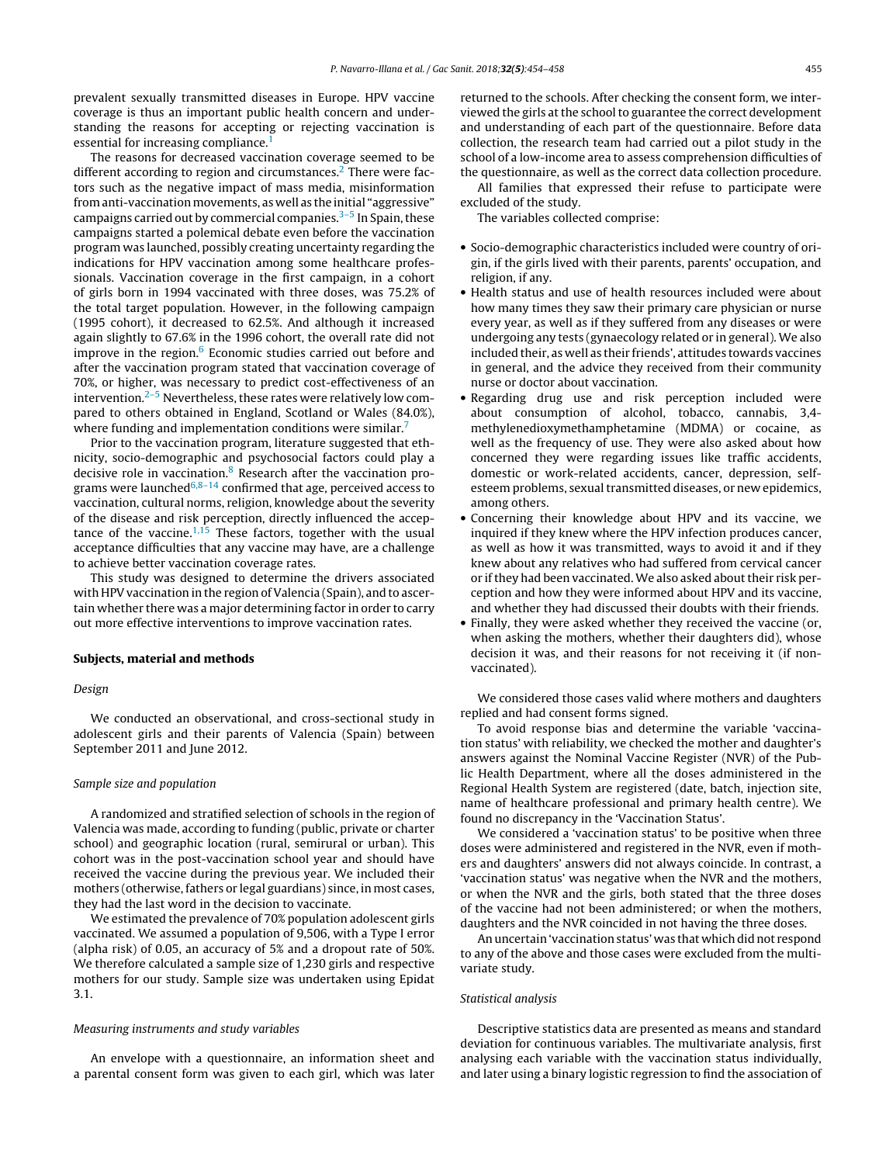prevalent sexually transmitted diseases in Europe. HPV vaccine coverage is thus an important public health concern and understanding the reasons for accepting or rejecting vaccination is essential for increasing compliance.<sup>[1](#page-4-0)</sup>

The reasons for decreased vaccination coverage seemed to be different according to region and circumstances. $2$  There were factors such as the negative impact of mass media, misinformation from anti-vaccination movements, as well as the initial "aggressive" campaigns carried out by commercial companies. $3-5$  In Spain, these campaigns started a polemical debate even before the vaccination program was launched, possibly creating uncertainty regarding the indications for HPV vaccination among some healthcare professionals. Vaccination coverage in the first campaign, in a cohort of girls born in 1994 vaccinated with three doses, was 75.2% of the total target population. However, in the following campaign (1995 cohort), it decreased to 62.5%. And although it increased again slightly to 67.6% in the 1996 cohort, the overall rate did not improve in the region. $6$  Economic studies carried out before and after the vaccination program stated that vaccination coverage of 70%, or higher, was necessary to predict cost-effectiveness of an intervention. $2-5$  Nevertheless, these rates were relatively low compared to others obtained in England, Scotland or Wales (84.0%), where funding and implementation conditions were similar.<sup>[7](#page-4-0)</sup>

Prior to the vaccination program, literature suggested that ethnicity, socio-demographic and psychosocial factors could play a decisive role in vaccination. $8$  Research after the vaccination programs were launched<sup>6,8-14</sup> confirmed that age, perceived access to vaccination, cultural norms, religion, knowledge about the severity of the disease and risk perception, directly influenced the accep-tance of the vaccine.<sup>[1,15](#page-4-0)</sup> These factors, together with the usual acceptance difficulties that any vaccine may have, are a challenge to achieve better vaccination coverage rates.

This study was designed to determine the drivers associated with HPV vaccination in the region of Valencia (Spain), and to ascertain whether there was a major determining factor in order to carry out more effective interventions to improve vaccination rates.

## Subjects, material and methods

## Design

We conducted an observational, and cross-sectional study in adolescent girls and their parents of Valencia (Spain) between September 2011 and June 2012.

## Sample size and population

A randomized and stratified selection of schools in the region of Valencia was made, according to funding (public, private or charter school) and geographic location (rural, semirural or urban). This cohort was in the post-vaccination school year and should have received the vaccine during the previous year. We included their mothers (otherwise, fathers or legal guardians) since, in most cases, they had the last word in the decision to vaccinate.

We estimated the prevalence of 70% population adolescent girls vaccinated. We assumed a population of 9,506, with a Type I error (alpha risk) of 0.05, an accuracy of 5% and a dropout rate of 50%. We therefore calculated a sample size of 1,230 girls and respective mothers for our study. Sample size was undertaken using Epidat 3.1.

## Measuring instruments and study variables

An envelope with a questionnaire, an information sheet and a parental consent form was given to each girl, which was later returned to the schools. After checking the consent form, we interviewed the girls at the school to guarantee the correct development and understanding of each part of the questionnaire. Before data collection, the research team had carried out a pilot study in the school of a low-income area to assess comprehension difficulties of the questionnaire, as well as the correct data collection procedure.

All families that expressed their refuse to participate were excluded of the study.

The variables collected comprise:

- Socio-demographic characteristics included were country of origin, if the girls lived with their parents, parents' occupation, and religion, if any.
- Health status and use of health resources included were about how many times they saw their primary care physician or nurse every year, as well as if they suffered from any diseases or were undergoing any tests (gynaecology related or in general). We also included their, as well as their friends', attitudes towards vaccines in general, and the advice they received from their community nurse or doctor about vaccination.
- Regarding drug use and risk perception included were about consumption of alcohol, tobacco, cannabis, 3,4 methylenedioxymethamphetamine (MDMA) or cocaine, as well as the frequency of use. They were also asked about how concerned they were regarding issues like traffic accidents, domestic or work-related accidents, cancer, depression, selfesteem problems, sexual transmitted diseases, or new epidemics, among others.
- Concerning their knowledge about HPV and its vaccine, we inquired if they knew where the HPV infection produces cancer, as well as how it was transmitted, ways to avoid it and if they knew about any relatives who had suffered from cervical cancer or if they had been vaccinated. We also asked about their risk perception and how they were informed about HPV and its vaccine, and whether they had discussed their doubts with their friends.
- Finally, they were asked whether they received the vaccine (or, when asking the mothers, whether their daughters did), whose decision it was, and their reasons for not receiving it (if nonvaccinated).

We considered those cases valid where mothers and daughters replied and had consent forms signed.

To avoid response bias and determine the variable 'vaccination status' with reliability, we checked the mother and daughter's answers against the Nominal Vaccine Register (NVR) of the Public Health Department, where all the doses administered in the Regional Health System are registered (date, batch, injection site, name of healthcare professional and primary health centre). We found no discrepancy in the 'Vaccination Status'.

We considered a 'vaccination status' to be positive when three doses were administered and registered in the NVR, even if mothers and daughters' answers did not always coincide. In contrast, a 'vaccination status' was negative when the NVR and the mothers, or when the NVR and the girls, both stated that the three doses of the vaccine had not been administered; or when the mothers, daughters and the NVR coincided in not having the three doses.

An uncertain 'vaccination status' was that which did not respond to any of the above and those cases were excluded from the multivariate study.

#### Statistical analysis

Descriptive statistics data are presented as means and standard deviation for continuous variables. The multivariate analysis, first analysing each variable with the vaccination status individually, and later using a binary logistic regression to find the association of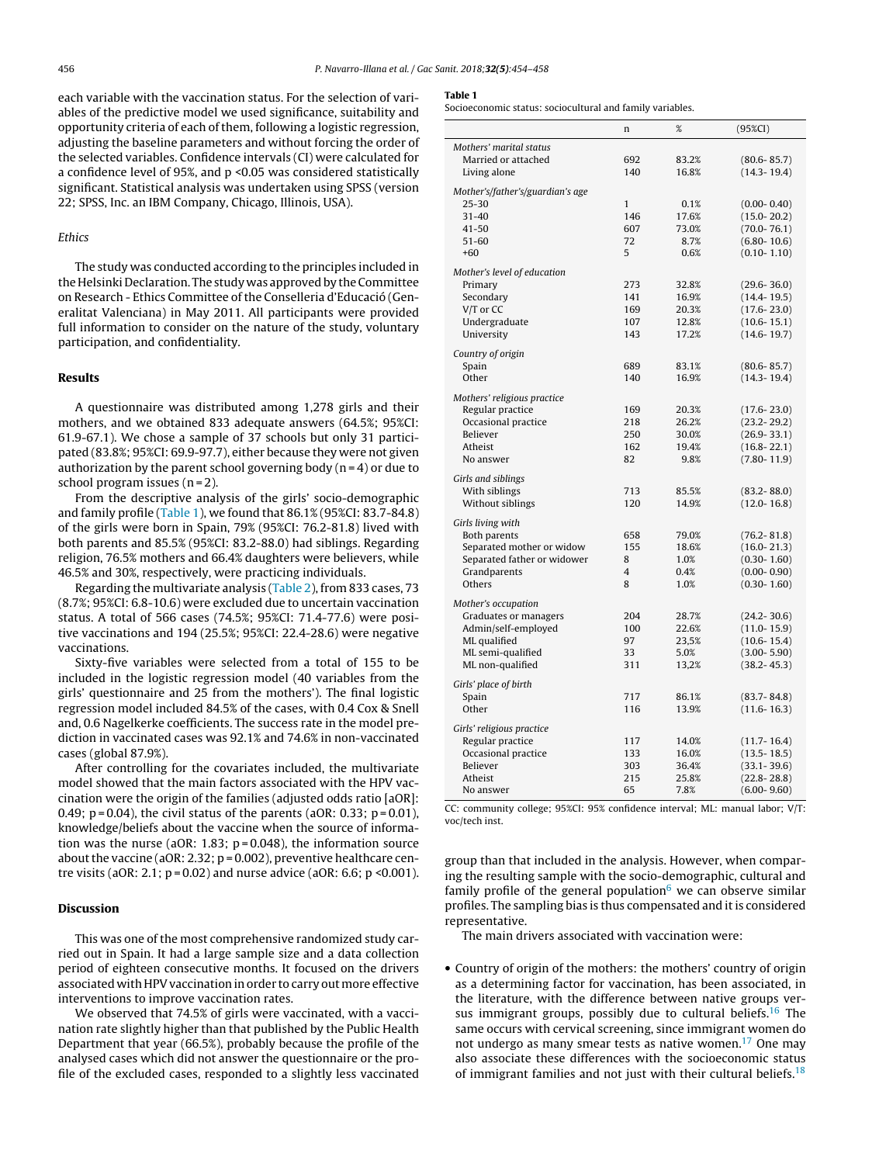each variable with the vaccination status. For the selection of variables of the predictive model we used significance, suitability and opportunity criteria of each of them, following a logistic regression, adjusting the baseline parameters and without forcing the order of the selected variables. Confidence intervals (CI) were calculated for a confidence level of 95%, and p <0.05 was considered statistically significant. Statistical analysis was undertaken using SPSS (version 22; SPSS, Inc. an IBM Company, Chicago, Illinois, USA).

## Ethics

The study was conducted according to the principles included in the Helsinki Declaration. The study was approved by the Committee on Research - Ethics Committee of the Conselleria d'Educació (Generalitat Valenciana) in May 2011. All participants were provided full information to consider on the nature of the study, voluntary participation, and confidentiality.

## Results

A questionnaire was distributed among 1,278 girls and their mothers, and we obtained 833 adequate answers (64.5%; 95%CI: 61.9-67.1). We chose a sample of 37 schools but only 31 participated (83.8%; 95%CI: 69.9-97.7), either because they were not given authorization by the parent school governing body  $(n = 4)$  or due to school program issues  $(n=2)$ .

From the descriptive analysis of the girls' socio-demographic and family profile (Table 1), we found that 86.1% (95%CI: 83.7-84.8) of the girls were born in Spain, 79% (95%CI: 76.2-81.8) lived with both parents and 85.5% (95%CI: 83.2-88.0) had siblings. Regarding religion, 76.5% mothers and 66.4% daughters were believers, while 46.5% and 30%, respectively, were practicing individuals.

Regarding the multivariate analysis [\(Table](#page-3-0) 2), from 833 cases, 73 (8.7%; 95%CI: 6.8-10.6) were excluded due to uncertain vaccination status. A total of 566 cases (74.5%; 95%CI: 71.4-77.6) were positive vaccinations and 194 (25.5%; 95%CI: 22.4-28.6) were negative vaccinations.

Sixty-five variables were selected from a total of 155 to be included in the logistic regression model (40 variables from the girls' questionnaire and 25 from the mothers'). The final logistic regression model included 84.5% of the cases, with 0.4 Cox & Snell and, 0.6 Nagelkerke coefficients. The success rate in the model prediction in vaccinated cases was 92.1% and 74.6% in non-vaccinated cases (global 87.9%).

After controlling for the covariates included, the multivariate model showed that the main factors associated with the HPV vaccination were the origin of the families (adjusted odds ratio [aOR]: 0.49;  $p = 0.04$ ), the civil status of the parents (aOR: 0.33;  $p = 0.01$ ), knowledge/beliefs about the vaccine when the source of information was the nurse (aOR: 1.83;  $p = 0.048$ ), the information source about the vaccine (aOR: 2.32;  $p = 0.002$ ), preventive healthcare centre visits (aOR: 2.1;  $p = 0.02$ ) and nurse advice (aOR: 6.6;  $p \le 0.001$ ).

## Discussion

This was one of the most comprehensive randomized study carried out in Spain. It had a large sample size and a data collection period of eighteen consecutive months. It focused on the drivers associated with HPV vaccination in order to carry out more effective interventions to improve vaccination rates.

We observed that 74.5% of girls were vaccinated, with a vaccination rate slightly higher than that published by the Public Health Department that year (66.5%), probably because the profile of the analysed cases which did not answer the questionnaire or the profile of the excluded cases, responded to a slightly less vaccinated

#### Table 1

Socioeconomic status: sociocultural and family variables.

|                                  | n                       | $\%$  | $(95\%CI)$      |
|----------------------------------|-------------------------|-------|-----------------|
| Mothers' marital status          |                         |       |                 |
| Married or attached              | 692                     | 83.2% | $(80.6 - 85.7)$ |
| Living alone                     | 140                     | 16.8% | $(14.3 - 19.4)$ |
|                                  |                         |       |                 |
| Mother's/father's/guardian's age |                         |       |                 |
| $25 - 30$                        | 1                       | 0.1%  | $(0.00 - 0.40)$ |
| $31 - 40$                        | 146                     | 17.6% | $(15.0 - 20.2)$ |
| $41 - 50$                        | 607                     | 73.0% | $(70.0 - 76.1)$ |
| 51-60                            | 72                      | 8.7%  | $(6.80 - 10.6)$ |
| $+60$                            | 5                       | 0.6%  | $(0.10 - 1.10)$ |
| Mother's level of education      |                         |       |                 |
| Primary                          | 273                     | 32.8% | $(29.6 - 36.0)$ |
| Secondary                        | 141                     | 16.9% | $(14.4 - 19.5)$ |
| V/T or CC                        | 169                     | 20.3% | $(17.6 - 23.0)$ |
| Undergraduate                    | 107                     | 12.8% | $(10.6 - 15.1)$ |
| University                       | 143                     | 17.2% | $(14.6 - 19.7)$ |
|                                  |                         |       |                 |
| Country of origin                |                         |       |                 |
| Spain                            | 689                     | 83.1% | $(80.6 - 85.7)$ |
| Other                            | 140                     | 16.9% | $(14.3 - 19.4)$ |
| Mothers' religious practice      |                         |       |                 |
| Regular practice                 | 169                     | 20.3% | $(17.6 - 23.0)$ |
| Occasional practice              | 218                     | 26.2% | $(23.2 - 29.2)$ |
| Believer                         | 250                     | 30.0% | $(26.9 - 33.1)$ |
| Atheist                          | 162                     | 19.4% | $(16.8 - 22.1)$ |
| No answer                        | 82                      | 9.8%  | $(7.80 - 11.9)$ |
|                                  |                         |       |                 |
| Girls and siblings               |                         |       |                 |
| With siblings                    | 713                     | 85.5% | $(83.2 - 88.0)$ |
| Without siblings                 | 120                     | 14.9% | $(12.0 - 16.8)$ |
| Girls living with                |                         |       |                 |
| <b>Both parents</b>              | 658                     | 79.0% | $(76.2 - 81.8)$ |
| Separated mother or widow        | 155                     | 18.6% | $(16.0 - 21.3)$ |
| Separated father or widower      | 8                       | 1.0%  | $(0.30 - 1.60)$ |
| Grandparents                     | $\overline{\mathbf{4}}$ | 0.4%  | $(0.00 - 0.90)$ |
| Others                           | 8                       | 1.0%  | $(0.30 - 1.60)$ |
|                                  |                         |       |                 |
| Mother's occupation              |                         |       |                 |
| Graduates or managers            | 204                     | 28.7% | $(24.2 - 30.6)$ |
| Admin/self-employed              | 100                     | 22.6% | $(11.0 - 15.9)$ |
| ML qualified                     | 97                      | 23,5% | $(10.6 - 15.4)$ |
| ML semi-qualified                | 33                      | 5.0%  | $(3.00 - 5.90)$ |
| ML non-qualified                 | 311                     | 13,2% | $(38.2 - 45.3)$ |
| Girls' place of birth            |                         |       |                 |
| Spain                            | 717                     | 86.1% | $(83.7 - 84.8)$ |
| Other                            | 116                     | 13.9% | $(11.6 - 16.3)$ |
| Girls' religious practice        |                         |       |                 |
| Regular practice                 | 117                     | 14.0% | $(11.7 - 16.4)$ |
| Occasional practice              | 133                     | 16.0% | $(13.5 - 18.5)$ |
| Believer                         | 303                     | 36.4% | $(33.1 - 39.6)$ |
| Atheist                          | 215                     | 25.8% | $(22.8 - 28.8)$ |
| No answer                        | 65                      | 7.8%  | $(6.00 - 9.60)$ |
|                                  |                         |       |                 |

CC: community college; 95%CI: 95% confidence interval; ML: manual labor; V/T: voc/tech inst.

group than that included in the analysis. However, when comparing the resulting sample with the socio-demographic, cultural and family profile of the general population $<sup>6</sup>$  $<sup>6</sup>$  $<sup>6</sup>$  we can observe similar</sup> profiles. The sampling bias is thus compensated and it is considered representative.

The main drivers associated with vaccination were:

• Country of origin of the mothers: the mothers' country of origin as a determining factor for vaccination, has been associated, in the literature, with the difference between native groups ver-sus immigrant groups, possibly due to cultural beliefs.<sup>[16](#page-4-0)</sup> The same occurs with cervical screening, since immigrant women do not undergo as many smear tests as native women.[17](#page-4-0) One may also associate these differences with the socioeconomic status of immigrant families and not just with their cultural beliefs.<sup>[18](#page-4-0)</sup>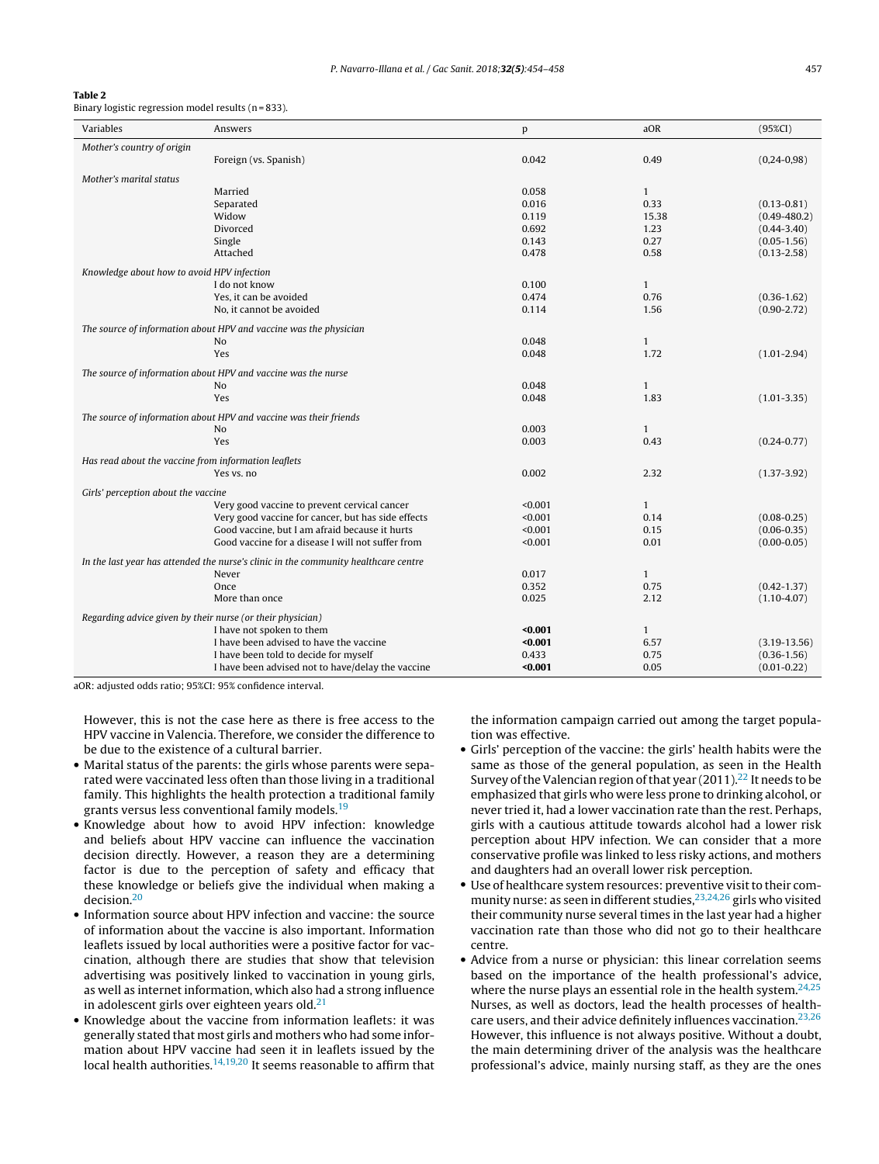#### <span id="page-3-0"></span>Table 2

Binary logistic regression model results (n = 833).

| Variables                                  | Answers                                                                             | p       | aOR          | $(95\%CI)$        |
|--------------------------------------------|-------------------------------------------------------------------------------------|---------|--------------|-------------------|
| Mother's country of origin                 |                                                                                     |         |              |                   |
|                                            | Foreign (vs. Spanish)                                                               | 0.042   | 0.49         | $(0, 24 - 0, 98)$ |
| Mother's marital status                    |                                                                                     |         |              |                   |
|                                            | Married                                                                             | 0.058   | $\mathbf{1}$ |                   |
|                                            | Separated                                                                           | 0.016   | 0.33         | $(0.13 - 0.81)$   |
|                                            | Widow                                                                               | 0.119   | 15.38        | $(0.49 - 480.2)$  |
|                                            | Divorced                                                                            | 0.692   | 1.23         | $(0.44 - 3.40)$   |
|                                            | Single                                                                              | 0.143   | 0.27         | $(0.05 - 1.56)$   |
|                                            | Attached                                                                            | 0.478   | 0.58         | $(0.13 - 2.58)$   |
| Knowledge about how to avoid HPV infection |                                                                                     |         |              |                   |
|                                            | I do not know                                                                       | 0.100   | $\mathbf{1}$ |                   |
|                                            | Yes, it can be avoided                                                              | 0.474   | 0.76         | $(0.36 - 1.62)$   |
|                                            | No, it cannot be avoided                                                            | 0.114   | 1.56         | $(0.90 - 2.72)$   |
|                                            | The source of information about HPV and vaccine was the physician                   |         |              |                   |
|                                            | No                                                                                  | 0.048   | $\mathbf{1}$ |                   |
|                                            | Yes                                                                                 | 0.048   | 1.72         | $(1.01 - 2.94)$   |
|                                            | The source of information about HPV and vaccine was the nurse                       |         |              |                   |
|                                            | No                                                                                  | 0.048   | $\mathbf{1}$ |                   |
|                                            | Yes                                                                                 | 0.048   | 1.83         | $(1.01 - 3.35)$   |
|                                            |                                                                                     |         |              |                   |
|                                            | The source of information about HPV and vaccine was their friends                   |         |              |                   |
|                                            | N <sub>0</sub>                                                                      | 0.003   | $\mathbf{1}$ |                   |
|                                            | Yes                                                                                 | 0.003   | 0.43         | $(0.24 - 0.77)$   |
|                                            | Has read about the vaccine from information leaflets                                |         |              |                   |
|                                            | Yes vs. no                                                                          | 0.002   | 2.32         | $(1.37 - 3.92)$   |
| Girls' perception about the vaccine        |                                                                                     |         |              |                   |
|                                            | Very good vaccine to prevent cervical cancer                                        | < 0.001 | $\mathbf{1}$ |                   |
|                                            | Very good vaccine for cancer, but has side effects                                  | < 0.001 | 0.14         | $(0.08 - 0.25)$   |
|                                            | Good vaccine, but I am afraid because it hurts                                      | < 0.001 | 0.15         | $(0.06 - 0.35)$   |
|                                            | Good vaccine for a disease I will not suffer from                                   | < 0.001 | 0.01         | $(0.00 - 0.05)$   |
|                                            | In the last year has attended the nurse's clinic in the community healthcare centre |         |              |                   |
|                                            | Never                                                                               | 0.017   | $\mathbf{1}$ |                   |
|                                            | Once                                                                                | 0.352   | 0.75         | $(0.42 - 1.37)$   |
|                                            | More than once                                                                      | 0.025   | 2.12         | $(1.10 - 4.07)$   |
|                                            | Regarding advice given by their nurse (or their physician)                          |         |              |                   |
|                                            | I have not spoken to them                                                           | $0.001$ | $\mathbf{1}$ |                   |
|                                            | I have been advised to have the vaccine                                             | $0.001$ | 6.57         | $(3.19 - 13.56)$  |
|                                            | I have been told to decide for myself                                               | 0.433   | 0.75         | $(0.36 - 1.56)$   |
|                                            | I have been advised not to have/delay the vaccine                                   | 0.001   | 0.05         | $(0.01 - 0.22)$   |

aOR: adjusted odds ratio; 95%CI: 95% confidence interval.

However, this is not the case here as there is free access to the HPV vaccine in Valencia. Therefore, we consider the difference to be due to the existence of a cultural barrier.

- Marital status of the parents: the girls whose parents were separated were vaccinated less often than those living in a traditional family. This highlights the health protection a traditional family grants versus less conventional family models.[19](#page-4-0)
- Knowledge about how to avoid HPV infection: knowledge and beliefs about HPV vaccine can influence the vaccination decision directly. However, a reason they are a determining factor is due to the perception of safety and efficacy that these knowledge or beliefs give the individual when making a decision.[20](#page-4-0)
- Information source about HPV infection and vaccine: the source of information about the vaccine is also important. Information leaflets issued by local authorities were a positive factor for vaccination, although there are studies that show that television advertising was positively linked to vaccination in young girls, as well as internet information, which also had a strong influence in adolescent girls over eighteen years old.<sup>[21](#page-4-0)</sup>
- Knowledge about the vaccine from information leaflets: it was generally stated that most girls and mothers who had some information about HPV vaccine had seen it in leaflets issued by the local health authorities.<sup>[14,19,20](#page-4-0)</sup> It seems reasonable to affirm that

the information campaign carried out among the target population was effective.

- Girls' perception of the vaccine: the girls' health habits were the same as those of the general population, as seen in the Health Survey of the Valencian region of that year  $(2011).^{22}$  $(2011).^{22}$  $(2011).^{22}$  It needs to be emphasized that girls who were less prone to drinking alcohol, or never tried it, had a lower vaccination rate than the rest. Perhaps, girls with a cautious attitude towards alcohol had a lower risk perception about HPV infection. We can consider that a more conservative profile was linked to less risky actions, and mothers and daughters had an overall lower risk perception.
- Use of healthcare system resources: preventive visit to their community nurse: as seen in different studies,  $23,24,26$  girls who visited their community nurse several times in the last year had a higher vaccination rate than those who did not go to their healthcare centre.
- Advice from a nurse or physician: this linear correlation seems based on the importance of the health professional's advice, where the nurse plays an essential role in the health system. $24,25$ Nurses, as well as doctors, lead the health processes of health-care users, and their advice definitely influences vaccination.<sup>[23,26](#page-4-0)</sup> However, this influence is not always positive. Without a doubt, the main determining driver of the analysis was the healthcare professional's advice, mainly nursing staff, as they are the ones